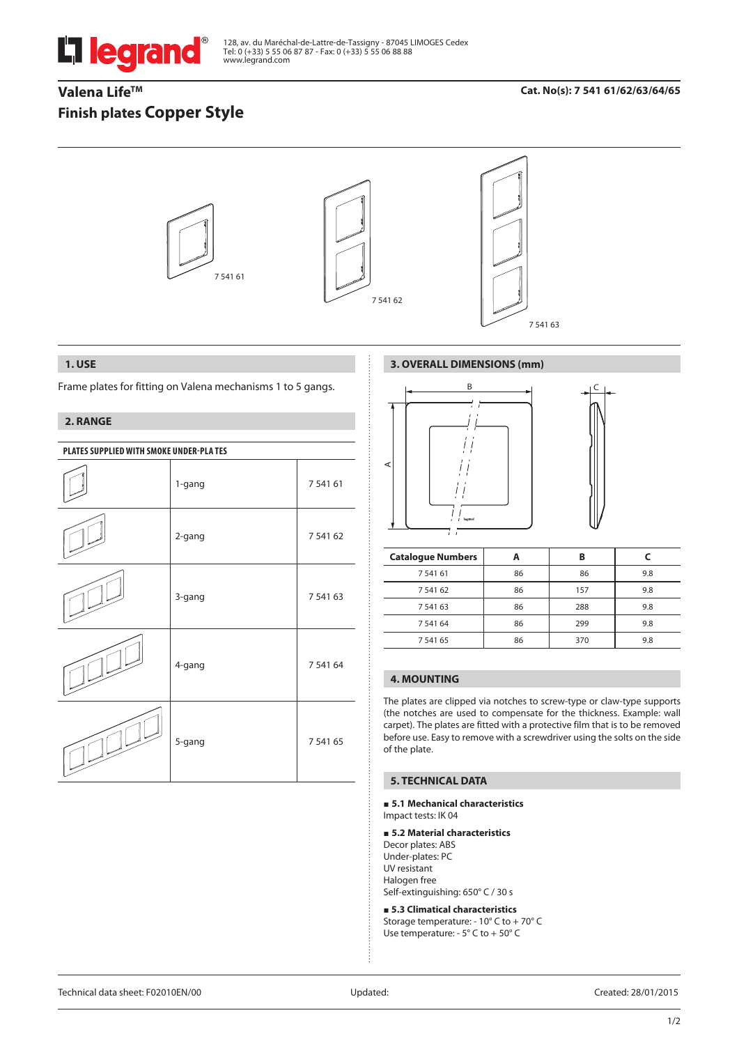

128, av. du Maréchal-de-Lattre-de-Tassigny - 87045 LIMOGES Cedex Tel: 0 (+33) 5 55 06 87 87 - Fax: 0 (+33) 5 55 06 88 88 www.legrand.com

# Valena Life<sup>™</sup> **Finish plates Copper Style**

## **Cat. No(s): 7 541 61/62/63/64/65**



## **1. USE**

Frame plates for fitting on Valena mechanisms 1 to 5 gangs.

## **2. RANGE**

| PLATES SUPPLIED WITH SMOKE UNDER-PLA TES |        |          |  |
|------------------------------------------|--------|----------|--|
|                                          | 1-gang | 7 541 61 |  |
|                                          | 2-gang | 7 541 62 |  |
|                                          | 3-gang | 7 541 63 |  |
|                                          | 4-gang | 7 541 64 |  |
|                                          | 5-gang | 7 541 65 |  |

## **3. OVERALL DIMENSIONS (mm)**



| <b>Catalogue Numbers</b> |    | в   |     |
|--------------------------|----|-----|-----|
| 7 541 61                 | 86 | 86  | 9.8 |
| 7 541 62                 | 86 | 157 | 9.8 |
| 7 541 63                 | 86 | 288 | 9.8 |
| 7 541 64                 | 86 | 299 | 9.8 |
| 7 541 65                 | 86 | 370 | 9.8 |

## **4. MOUNTING**

The plates are clipped via notches to screw-type or claw-type supports (the notches are used to compensate for the thickness. Example: wall carpet). The plates are fitted with a protective film that is to be removed before use. Easy to remove with a screwdriver using the solts on the side of the plate.

## **5. TECHNICAL DATA**

#### **5.1 Mechanical characteristics** Impact tests: IK 04

### **5.2 Material characteristics**

Decor plates: ABS Under-plates: PC UV resistant Halogen free Self-extinguishing: 650° C / 30 s

 **5.3 Climatical characteristics** Storage temperature: - 10° C to + 70° C Use temperature: - 5° C to + 50° C

Technical data sheet: F02010EN/00 Updated: Created: 28/01/2015